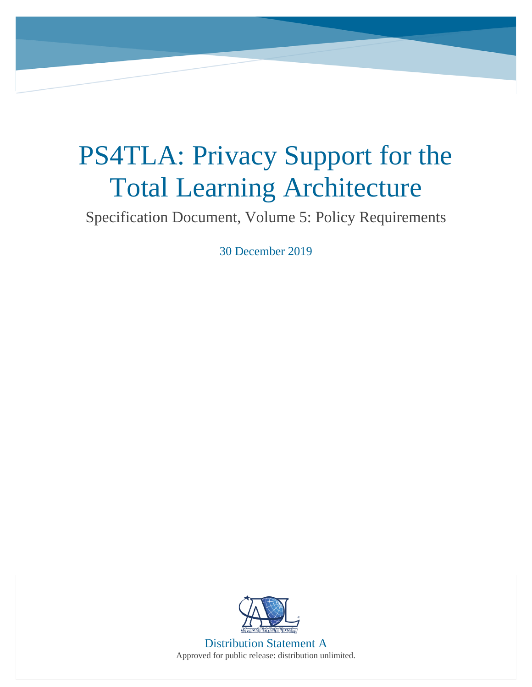## PS4TLA: Privacy Support for the Total Learning Architecture

Specification Document, Volume 5: Policy Requirements

30 December 2019



Distribution Statement A Approved for public release: distribution unlimited.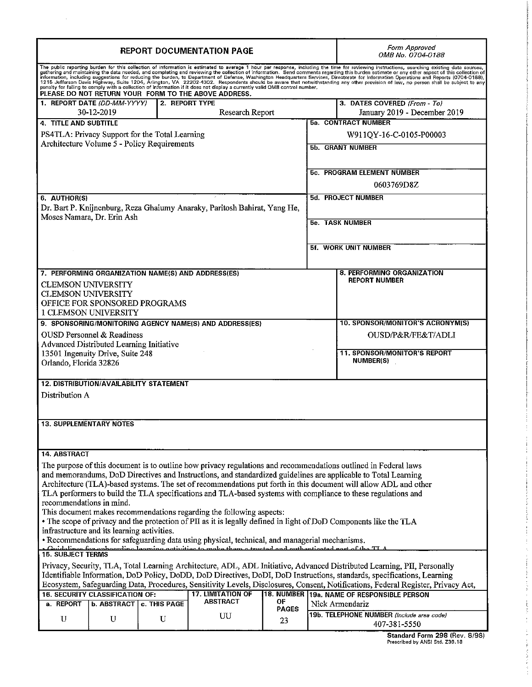| <b>REPORT DOCUMENTATION PAGE</b>                                                                                                             |                                                                      |                                                |                                                                           |              |                                                              | Form Approved<br>OMB No. 0704-0188                                                                                                                                                                                                                                                                                                                                                                                            |  |
|----------------------------------------------------------------------------------------------------------------------------------------------|----------------------------------------------------------------------|------------------------------------------------|---------------------------------------------------------------------------|--------------|--------------------------------------------------------------|-------------------------------------------------------------------------------------------------------------------------------------------------------------------------------------------------------------------------------------------------------------------------------------------------------------------------------------------------------------------------------------------------------------------------------|--|
|                                                                                                                                              |                                                                      |                                                | PLEASE DO NOT RETURN YOUR FORM TO THE ABOVE ADDRESS.                      |              |                                                              | The public reporting burden for this collection of information is estimated to average 1 hour per response, including the time for reviewing instructions, searching existing data sources,<br>or the control of information. Send completing and reviewing the collection of information. Send comments regarding this burden estimate or any other aspect of this collection of and completing and reviewing the collection |  |
| 1. REPORT DATE (DD-MM-YYYY)<br>2. REPORT TYPE<br>Research Report<br>30-12-2019                                                               |                                                                      |                                                |                                                                           |              | 3. DATES COVERED (From - To)<br>January 2019 - December 2019 |                                                                                                                                                                                                                                                                                                                                                                                                                               |  |
| 5a. CONTRACT NUMBER<br>4. TITLE AND SUBTITLE                                                                                                 |                                                                      |                                                |                                                                           |              |                                                              |                                                                                                                                                                                                                                                                                                                                                                                                                               |  |
| PS4TLA: Privacy Support for the Total Learning                                                                                               |                                                                      |                                                |                                                                           |              | W911QY-16-C-0105-P00003                                      |                                                                                                                                                                                                                                                                                                                                                                                                                               |  |
| Architecture Volume 5 - Policy Requirements                                                                                                  |                                                                      |                                                |                                                                           |              | 5b. GRANT NUMBER                                             |                                                                                                                                                                                                                                                                                                                                                                                                                               |  |
|                                                                                                                                              |                                                                      |                                                |                                                                           |              |                                                              |                                                                                                                                                                                                                                                                                                                                                                                                                               |  |
|                                                                                                                                              |                                                                      |                                                |                                                                           |              | 5c. PROGRAM ELEMENT NUMBER                                   |                                                                                                                                                                                                                                                                                                                                                                                                                               |  |
|                                                                                                                                              |                                                                      |                                                |                                                                           |              | 0603769D8Z                                                   |                                                                                                                                                                                                                                                                                                                                                                                                                               |  |
| 6. AUTHOR(S)                                                                                                                                 |                                                                      |                                                |                                                                           |              | 5d. PROJECT NUMBER                                           |                                                                                                                                                                                                                                                                                                                                                                                                                               |  |
|                                                                                                                                              |                                                                      |                                                | Dr. Bart P. Knijnenburg, Reza Ghaiumy Anaraky, Paritosh Bahirat, Yang He, |              |                                                              |                                                                                                                                                                                                                                                                                                                                                                                                                               |  |
| Moses Namara, Dr. Erin Ash                                                                                                                   |                                                                      |                                                |                                                                           |              | 5e. TASK NUMBER                                              |                                                                                                                                                                                                                                                                                                                                                                                                                               |  |
|                                                                                                                                              |                                                                      |                                                |                                                                           |              |                                                              |                                                                                                                                                                                                                                                                                                                                                                                                                               |  |
|                                                                                                                                              |                                                                      |                                                |                                                                           |              | 5f. WORK UNIT NUMBER                                         |                                                                                                                                                                                                                                                                                                                                                                                                                               |  |
|                                                                                                                                              |                                                                      |                                                |                                                                           |              |                                                              |                                                                                                                                                                                                                                                                                                                                                                                                                               |  |
|                                                                                                                                              |                                                                      |                                                | 7. PERFORMING ORGANIZATION NAME(S) AND ADDRESS(ES)                        |              |                                                              | 8. PERFORMING ORGANIZATION<br><b>REPORT NUMBER</b>                                                                                                                                                                                                                                                                                                                                                                            |  |
| <b>CLEMSON UNIVERSITY</b><br><b>CLEMSON UNIVERSITY</b>                                                                                       |                                                                      |                                                |                                                                           |              |                                                              |                                                                                                                                                                                                                                                                                                                                                                                                                               |  |
|                                                                                                                                              |                                                                      | OFFICE FOR SPONSORED PROGRAMS                  |                                                                           |              |                                                              |                                                                                                                                                                                                                                                                                                                                                                                                                               |  |
| 1 CLEMSON UNIVERSITY                                                                                                                         |                                                                      |                                                |                                                                           |              |                                                              | <b>10. SPONSOR/MONITOR'S ACRONYM(S)</b>                                                                                                                                                                                                                                                                                                                                                                                       |  |
| 9. SPONSORING/MONITORING AGENCY NAME(S) AND ADDRESS(ES)<br>OUSD Personnel & Readiness                                                        |                                                                      |                                                |                                                                           |              |                                                              | OUSD/P&R/FE&T/ADLI                                                                                                                                                                                                                                                                                                                                                                                                            |  |
| Advanced Distributed Learning Initiative                                                                                                     |                                                                      |                                                |                                                                           |              |                                                              |                                                                                                                                                                                                                                                                                                                                                                                                                               |  |
| 13501 Ingenuity Drive, Suite 248                                                                                                             |                                                                      |                                                |                                                                           |              |                                                              | 11. SPONSOR/MONITOR'S REPORT<br><b>NUMBER(S)</b>                                                                                                                                                                                                                                                                                                                                                                              |  |
| Orlando, Florida 32826                                                                                                                       |                                                                      |                                                |                                                                           |              |                                                              |                                                                                                                                                                                                                                                                                                                                                                                                                               |  |
|                                                                                                                                              |                                                                      | <b>12. DISTRIBUTION/AVAILABILITY STATEMENT</b> |                                                                           |              |                                                              |                                                                                                                                                                                                                                                                                                                                                                                                                               |  |
| Distribution A                                                                                                                               |                                                                      |                                                |                                                                           |              |                                                              |                                                                                                                                                                                                                                                                                                                                                                                                                               |  |
|                                                                                                                                              |                                                                      |                                                |                                                                           |              |                                                              |                                                                                                                                                                                                                                                                                                                                                                                                                               |  |
| <b>13. SUPPLEMENTARY NOTES</b>                                                                                                               |                                                                      |                                                |                                                                           |              |                                                              |                                                                                                                                                                                                                                                                                                                                                                                                                               |  |
|                                                                                                                                              |                                                                      |                                                |                                                                           |              |                                                              |                                                                                                                                                                                                                                                                                                                                                                                                                               |  |
| 14. ABSTRACT                                                                                                                                 |                                                                      |                                                |                                                                           |              |                                                              |                                                                                                                                                                                                                                                                                                                                                                                                                               |  |
|                                                                                                                                              |                                                                      |                                                |                                                                           |              |                                                              | The purpose of this document is to outline how privacy regulations and recommendations outlined in Federal laws                                                                                                                                                                                                                                                                                                               |  |
| and memorandums, DoD Directives and Instructions, and standardized guidelines are applicable to Total Learning                               |                                                                      |                                                |                                                                           |              |                                                              |                                                                                                                                                                                                                                                                                                                                                                                                                               |  |
| Architecture (TLA)-based systems. The set of recommendations put forth in this document will allow ADL and other                             |                                                                      |                                                |                                                                           |              |                                                              |                                                                                                                                                                                                                                                                                                                                                                                                                               |  |
| TLA performers to build the TLA specifications and TLA-based systems with compliance to these regulations and<br>recommendations in mind.    |                                                                      |                                                |                                                                           |              |                                                              |                                                                                                                                                                                                                                                                                                                                                                                                                               |  |
| This document makes recommendations regarding the following aspects:                                                                         |                                                                      |                                                |                                                                           |              |                                                              |                                                                                                                                                                                                                                                                                                                                                                                                                               |  |
| • The scope of privacy and the protection of PII as it is legally defined in light of DoD Components like the TLA                            |                                                                      |                                                |                                                                           |              |                                                              |                                                                                                                                                                                                                                                                                                                                                                                                                               |  |
| infrastructure and its learning activities.<br>• Recommendations for safeguarding data using physical, technical, and managerial mechanisms. |                                                                      |                                                |                                                                           |              |                                                              |                                                                                                                                                                                                                                                                                                                                                                                                                               |  |
| a Guidelines for ophoording Jearning activities to make them a trusted and outhenticated nort of the TI A<br>15. SUBJECT TERMS               |                                                                      |                                                |                                                                           |              |                                                              |                                                                                                                                                                                                                                                                                                                                                                                                                               |  |
| Privacy, Security, TLA, Total Learning Architecture, ADL, ADL Initiative, Advanced Distributed Learning, PII, Personally                     |                                                                      |                                                |                                                                           |              |                                                              |                                                                                                                                                                                                                                                                                                                                                                                                                               |  |
| Identifiable Information, DoD Policy, DoDD, DoD Directives, DoDI, DoD Instructions, standards, specifications, Learning                      |                                                                      |                                                |                                                                           |              |                                                              |                                                                                                                                                                                                                                                                                                                                                                                                                               |  |
| Ecosystem, Safeguarding Data, Procedures, Sensitivity Levels, Disclosures, Consent, Notifications, Federal Register, Privacy Act,            |                                                                      |                                                |                                                                           |              |                                                              |                                                                                                                                                                                                                                                                                                                                                                                                                               |  |
| a. REPORT                                                                                                                                    | 16. SECURITY CLASSIFICATION OF:<br><b>b. ABSTRACT   c. THIS PAGE</b> |                                                | <b>17. LIMITATION OF</b><br><b>ABSTRACT</b>                               | ΟF           |                                                              | 18. NUMBER 19a. NAME OF RESPONSIBLE PERSON<br>Nick Armendariz                                                                                                                                                                                                                                                                                                                                                                 |  |
|                                                                                                                                              |                                                                      |                                                |                                                                           | <b>PAGES</b> |                                                              | 19b. TELEPHONE NUMBER (Include area code)                                                                                                                                                                                                                                                                                                                                                                                     |  |
| U                                                                                                                                            | U                                                                    | U                                              | UU                                                                        | 23           |                                                              | 407-381-5550                                                                                                                                                                                                                                                                                                                                                                                                                  |  |
|                                                                                                                                              |                                                                      |                                                |                                                                           |              |                                                              | 20000                                                                                                                                                                                                                                                                                                                                                                                                                         |  |

 $\mathcal{L}^{\text{max}}_{\text{max}}$ 

| Standard Form 298 (Rev. 8/98)  |  |  |
|--------------------------------|--|--|
| Prescribed by ANSI Std. Z39.18 |  |  |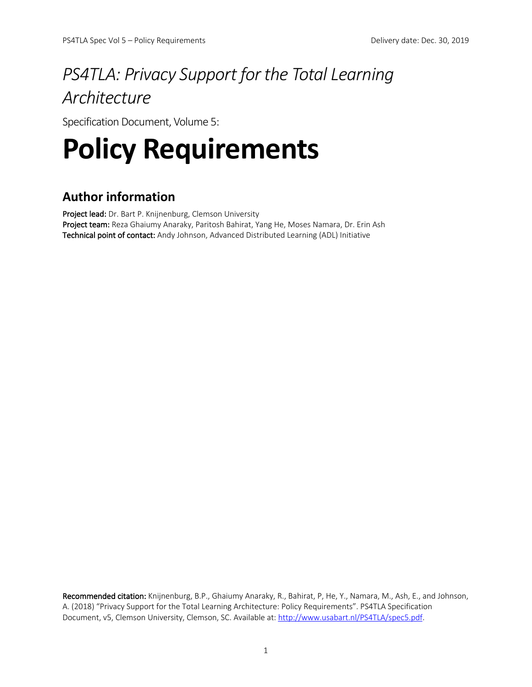## *PS4TLA: Privacy Support for the Total Learning Architecture*

Specification Document, Volume 5:

# **Policy Requirements**

## **Author information**

Project lead: Dr. Bart P. Knijnenburg, Clemson University Project team: Reza Ghaiumy Anaraky, Paritosh Bahirat, Yang He, Moses Namara, Dr. Erin Ash Technical point of contact: Andy Johnson, Advanced Distributed Learning (ADL) Initiative

Recommended citation: Knijnenburg, B.P., Ghaiumy Anaraky, R., Bahirat, P, He, Y., Namara, M., Ash, E., and Johnson, A. (2018) "Privacy Support for the Total Learning Architecture: Policy Requirements". PS4TLA Specification Document, v5, Clemson University, Clemson, SC. Available at: http://www.usabart.nl/PS4TLA/spec5.pdf.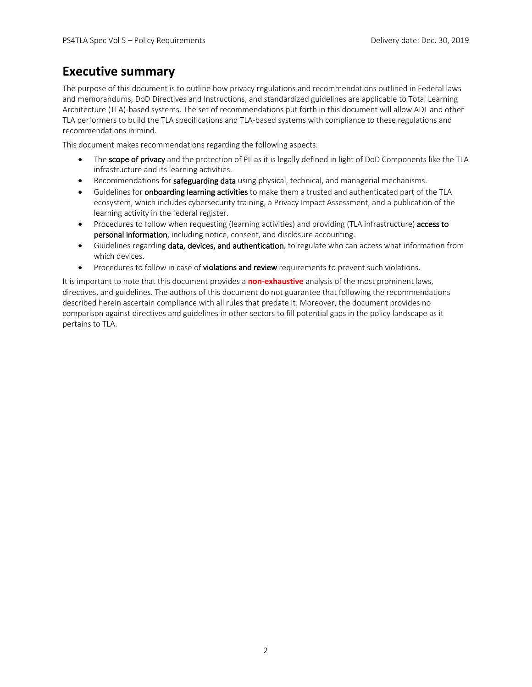## **Executive summary**

The purpose of this document is to outline how privacy regulations and recommendations outlined in Federal laws and memorandums, DoD Directives and Instructions, and standardized guidelines are applicable to Total Learning Architecture (TLA)-based systems. The set of recommendations put forth in this document will allow ADL and other TLA performers to build the TLA specifications and TLA-based systems with compliance to these regulations and recommendations in mind.

This document makes recommendations regarding the following aspects:

- The scope of privacy and the protection of PII as it is legally defined in light of DoD Components like the TLA infrastructure and its learning activities.
- Recommendations for safeguarding data using physical, technical, and managerial mechanisms.
- Guidelines for **onboarding learning activities** to make them a trusted and authenticated part of the TLA ecosystem, which includes cybersecurity training, a Privacy Impact Assessment, and a publication of the learning activity in the federal register.
- Procedures to follow when requesting (learning activities) and providing (TLA infrastructure) access to personal information, including notice, consent, and disclosure accounting.
- Guidelines regarding data, devices, and authentication, to regulate who can access what information from which devices.
- Procedures to follow in case of violations and review requirements to prevent such violations.

It is important to note that this document provides a **non-exhaustive** analysis of the most prominent laws, directives, and guidelines. The authors of this document do not guarantee that following the recommendations described herein ascertain compliance with all rules that predate it. Moreover, the document provides no comparison against directives and guidelines in other sectors to fill potential gaps in the policy landscape as it pertains to TLA.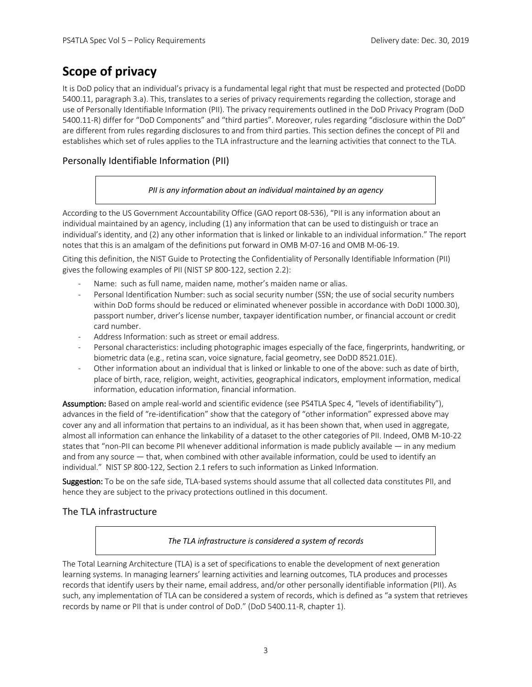## **Scope of privacy**

It is DoD policy that an individual's privacy is a fundamental legal right that must be respected and protected (DoDD 5400.11, paragraph 3.a). This, translates to a series of privacy requirements regarding the collection, storage and use of Personally Identifiable Information (PII). The privacy requirements outlined in the DoD Privacy Program (DoD 5400.11-R) differ for "DoD Components" and "third parties". Moreover, rules regarding "disclosure within the DoD" are different from rules regarding disclosures to and from third parties. This section defines the concept of PII and establishes which set of rules applies to the TLA infrastructure and the learning activities that connect to the TLA.

#### Personally Identifiable Information (PII)

#### *PII is any information about an individual maintained by an agency*

According to the US Government Accountability Office (GAO report 08-536), "PII is any information about an individual maintained by an agency, including (1) any information that can be used to distinguish or trace an individual's identity, and (2) any other information that is linked or linkable to an individual information." The report notes that this is an amalgam of the definitions put forward in OMB M-07-16 and OMB M-06-19.

Citing this definition, the NIST Guide to Protecting the Confidentiality of Personally Identifiable Information (PII) gives the following examples of PII (NIST SP 800-122, section 2.2):

- Name: such as full name, maiden name, mother's maiden name or alias.
- Personal Identification Number: such as social security number (SSN; the use of social security numbers within DoD forms should be reduced or eliminated whenever possible in accordance with DoDI 1000.30), passport number, driver's license number, taxpayer identification number, or financial account or credit card number.
- Address Information: such as street or email address.
- Personal characteristics: including photographic images especially of the face, fingerprints, handwriting, or biometric data (e.g., retina scan, voice signature, facial geometry, see DoDD 8521.01E).
- Other information about an individual that is linked or linkable to one of the above: such as date of birth, place of birth, race, religion, weight, activities, geographical indicators, employment information, medical information, education information, financial information.

Assumption: Based on ample real-world and scientific evidence (see PS4TLA Spec 4, "levels of identifiability"), advances in the field of "re-identification" show that the category of "other information" expressed above may cover any and all information that pertains to an individual, as it has been shown that, when used in aggregate, almost all information can enhance the linkability of a dataset to the other categories of PII. Indeed, OMB M-10-22 states that "non-PII can become PII whenever additional information is made publicly available — in any medium and from any source — that, when combined with other available information, could be used to identify an individual." NIST SP 800-122, Section 2.1 refers to such information as Linked Information.

Suggestion: To be on the safe side, TLA-based systems should assume that all collected data constitutes PII, and hence they are subject to the privacy protections outlined in this document.

#### The TLA infrastructure

#### *The TLA infrastructure is considered a system of records*

The Total Learning Architecture (TLA) is a set of specifications to enable the development of next generation learning systems. In managing learners' learning activities and learning outcomes, TLA produces and processes records that identify users by their name, email address, and/or other personally identifiable information (PII). As such, any implementation of TLA can be considered a system of records, which is defined as "a system that retrieves records by name or PII that is under control of DoD." (DoD 5400.11-R, chapter 1).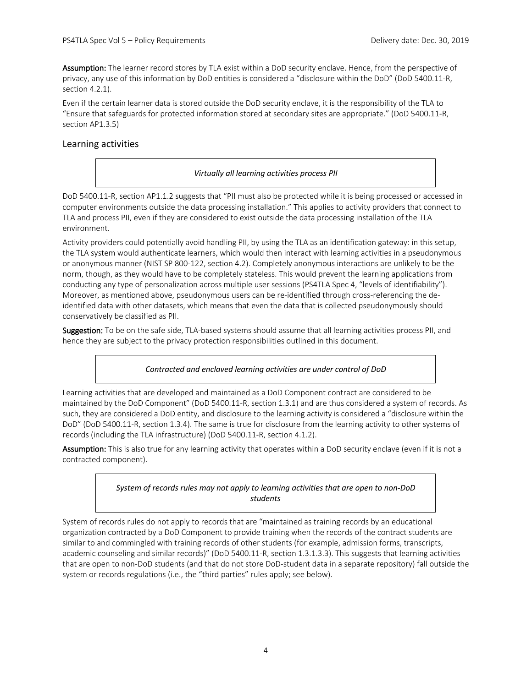Assumption: The learner record stores by TLA exist within a DoD security enclave. Hence, from the perspective of privacy, any use of this information by DoD entities is considered a "disclosure within the DoD" (DoD 5400.11-R, section 4.2.1).

Even if the certain learner data is stored outside the DoD security enclave, it is the responsibility of the TLA to "Ensure that safeguards for protected information stored at secondary sites are appropriate." (DoD 5400.11-R, section AP1.3.5)

#### Learning activities

#### *Virtually all learning activities process PII*

DoD 5400.11-R, section AP1.1.2 suggests that "PII must also be protected while it is being processed or accessed in computer environments outside the data processing installation." This applies to activity providers that connect to TLA and process PII, even if they are considered to exist outside the data processing installation of the TLA environment.

Activity providers could potentially avoid handling PII, by using the TLA as an identification gateway: in this setup, the TLA system would authenticate learners, which would then interact with learning activities in a pseudonymous or anonymous manner (NIST SP 800-122, section 4.2). Completely anonymous interactions are unlikely to be the norm, though, as they would have to be completely stateless. This would prevent the learning applications from conducting any type of personalization across multiple user sessions (PS4TLA Spec 4, "levels of identifiability"). Moreover, as mentioned above, pseudonymous users can be re-identified through cross-referencing the deidentified data with other datasets, which means that even the data that is collected pseudonymously should conservatively be classified as PII.

Suggestion: To be on the safe side, TLA-based systems should assume that all learning activities process PII, and hence they are subject to the privacy protection responsibilities outlined in this document.

#### *Contracted and enclaved learning activities are under control of DoD*

Learning activities that are developed and maintained as a DoD Component contract are considered to be maintained by the DoD Component" (DoD 5400.11-R, section 1.3.1) and are thus considered a system of records. As such, they are considered a DoD entity, and disclosure to the learning activity is considered a "disclosure within the DoD" (DoD 5400.11-R, section 1.3.4). The same is true for disclosure from the learning activity to other systems of records (including the TLA infrastructure) (DoD 5400.11-R, section 4.1.2).

Assumption: This is also true for any learning activity that operates within a DoD security enclave (even if it is not a contracted component).

#### *System of records rules may not apply to learning activities that are open to non-DoD students*

System of records rules do not apply to records that are "maintained as training records by an educational organization contracted by a DoD Component to provide training when the records of the contract students are similar to and commingled with training records of other students (for example, admission forms, transcripts, academic counseling and similar records)" (DoD 5400.11-R, section 1.3.1.3.3). This suggests that learning activities that are open to non-DoD students (and that do not store DoD-student data in a separate repository) fall outside the system or records regulations (i.e., the "third parties" rules apply; see below).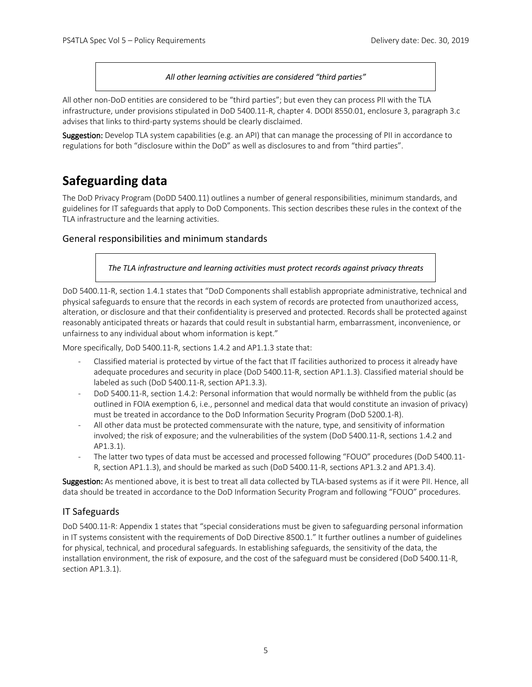*All other learning activities are considered "third parties"*

All other non-DoD entities are considered to be "third parties"; but even they can process PII with the TLA infrastructure, under provisions stipulated in DoD 5400.11-R, chapter 4. DODI 8550.01, enclosure 3, paragraph 3.c advises that links to third-party systems should be clearly disclaimed.

Suggestion: Develop TLA system capabilities (e.g. an API) that can manage the processing of PII in accordance to regulations for both "disclosure within the DoD" as well as disclosures to and from "third parties".

## **Safeguarding data**

The DoD Privacy Program (DoDD 5400.11) outlines a number of general responsibilities, minimum standards, and guidelines for IT safeguards that apply to DoD Components. This section describes these rules in the context of the TLA infrastructure and the learning activities.

#### General responsibilities and minimum standards

*The TLA infrastructure and learning activities must protect records against privacy threats*

DoD 5400.11-R, section 1.4.1 states that "DoD Components shall establish appropriate administrative, technical and physical safeguards to ensure that the records in each system of records are protected from unauthorized access, alteration, or disclosure and that their confidentiality is preserved and protected. Records shall be protected against reasonably anticipated threats or hazards that could result in substantial harm, embarrassment, inconvenience, or unfairness to any individual about whom information is kept."

More specifically, DoD 5400.11-R, sections 1.4.2 and AP1.1.3 state that:

- Classified material is protected by virtue of the fact that IT facilities authorized to process it already have adequate procedures and security in place (DoD 5400.11-R, section AP1.1.3). Classified material should be labeled as such (DoD 5400.11-R, section AP1.3.3).
- DoD 5400.11-R, section 1.4.2: Personal information that would normally be withheld from the public (as outlined in FOIA exemption 6, i.e., personnel and medical data that would constitute an invasion of privacy) must be treated in accordance to the DoD Information Security Program (DoD 5200.1-R).
- All other data must be protected commensurate with the nature, type, and sensitivity of information involved; the risk of exposure; and the vulnerabilities of the system (DoD 5400.11-R, sections 1.4.2 and AP1.3.1).
- The latter two types of data must be accessed and processed following "FOUO" procedures (DoD 5400.11-R, section AP1.1.3), and should be marked as such (DoD 5400.11-R, sections AP1.3.2 and AP1.3.4).

Suggestion: As mentioned above, it is best to treat all data collected by TLA-based systems as if it were PII. Hence, all data should be treated in accordance to the DoD Information Security Program and following "FOUO" procedures.

#### IT Safeguards

DoD 5400.11-R: Appendix 1 states that "special considerations must be given to safeguarding personal information in IT systems consistent with the requirements of DoD Directive 8500.1." It further outlines a number of guidelines for physical, technical, and procedural safeguards. In establishing safeguards, the sensitivity of the data, the installation environment, the risk of exposure, and the cost of the safeguard must be considered (DoD 5400.11-R, section AP1.3.1).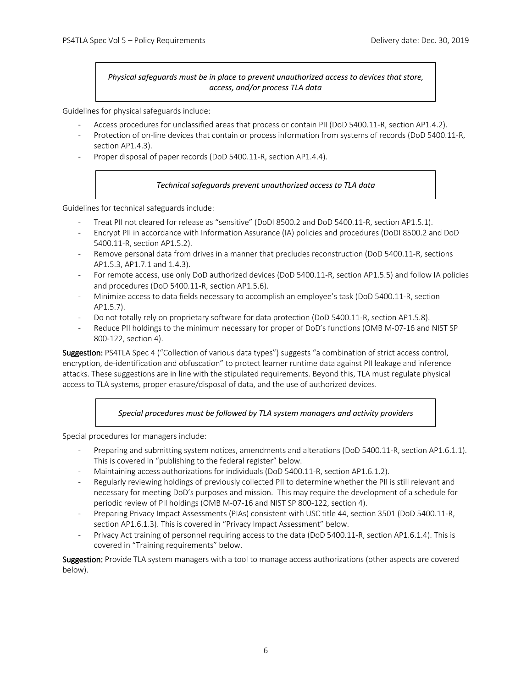*Physical safeguards must be in place to prevent unauthorized access to devices that store, access, and/or process TLA data*

Guidelines for physical safeguards include:

- Access procedures for unclassified areas that process or contain PII (DoD 5400.11-R, section AP1.4.2).
- Protection of on-line devices that contain or process information from systems of records (DoD 5400.11-R, section AP1.4.3).
- Proper disposal of paper records (DoD 5400.11-R, section AP1.4.4).

#### *Technical safeguards prevent unauthorized access to TLA data*

Guidelines for technical safeguards include:

- Treat PII not cleared for release as "sensitive" (DoDI 8500.2 and DoD 5400.11-R, section AP1.5.1).
- Encrypt PII in accordance with Information Assurance (IA) policies and procedures (DoDI 8500.2 and DoD 5400.11-R, section AP1.5.2).
- Remove personal data from drives in a manner that precludes reconstruction (DoD 5400.11-R, sections AP1.5.3, AP1.7.1 and 1.4.3).
- For remote access, use only DoD authorized devices (DoD 5400.11-R, section AP1.5.5) and follow IA policies and procedures (DoD 5400.11-R, section AP1.5.6).
- Minimize access to data fields necessary to accomplish an employee's task (DoD 5400.11-R, section AP1.5.7).
- Do not totally rely on proprietary software for data protection (DoD 5400.11-R, section AP1.5.8).
- Reduce PII holdings to the minimum necessary for proper of DoD's functions (OMB M-07-16 and NIST SP 800-122, section 4).

Suggestion: PS4TLA Spec 4 ("Collection of various data types") suggests "a combination of strict access control, encryption, de-identification and obfuscation" to protect learner runtime data against PII leakage and inference attacks. These suggestions are in line with the stipulated requirements. Beyond this, TLA must regulate physical access to TLA systems, proper erasure/disposal of data, and the use of authorized devices.

*Special procedures must be followed by TLA system managers and activity providers*

Special procedures for managers include:

- Preparing and submitting system notices, amendments and alterations (DoD 5400.11-R, section AP1.6.1.1). This is covered in "publishing to the federal register" below.
- Maintaining access authorizations for individuals (DoD 5400.11-R, section AP1.6.1.2).
- Regularly reviewing holdings of previously collected PII to determine whether the PII is still relevant and necessary for meeting DoD's purposes and mission. This may require the development of a schedule for periodic review of PII holdings (OMB M-07-16 and NIST SP 800-122, section 4).
- Preparing Privacy Impact Assessments (PIAs) consistent with USC title 44, section 3501 (DoD 5400.11-R, section AP1.6.1.3). This is covered in "Privacy Impact Assessment" below.
- Privacy Act training of personnel requiring access to the data (DoD 5400.11-R, section AP1.6.1.4). This is covered in "Training requirements" below.

Suggestion: Provide TLA system managers with a tool to manage access authorizations (other aspects are covered below).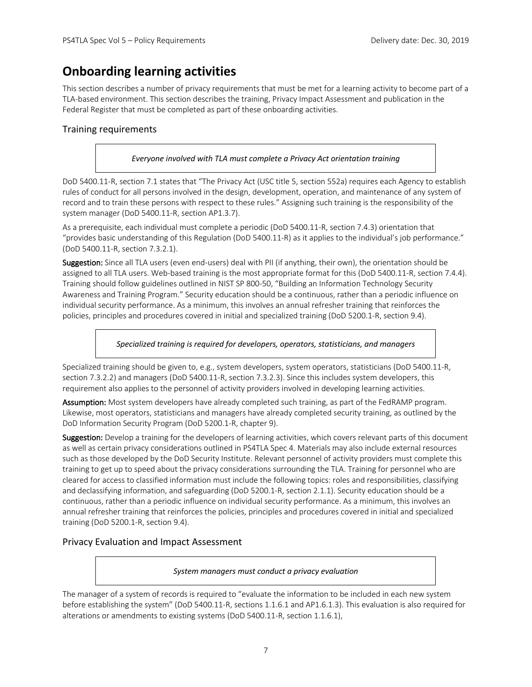## **Onboarding learning activities**

This section describes a number of privacy requirements that must be met for a learning activity to become part of a TLA-based environment. This section describes the training, Privacy Impact Assessment and publication in the Federal Register that must be completed as part of these onboarding activities.

#### Training requirements

#### *Everyone involved with TLA must complete a Privacy Act orientation training*

DoD 5400.11-R, section 7.1 states that "The Privacy Act (USC title 5, section 552a) requires each Agency to establish rules of conduct for all persons involved in the design, development, operation, and maintenance of any system of record and to train these persons with respect to these rules." Assigning such training is the responsibility of the system manager (DoD 5400.11-R, section AP1.3.7).

As a prerequisite, each individual must complete a periodic (DoD 5400.11-R, section 7.4.3) orientation that "provides basic understanding of this Regulation (DoD 5400.11-R) as it applies to the individual's job performance." (DoD 5400.11-R, section 7.3.2.1).

Suggestion: Since all TLA users (even end-users) deal with PII (if anything, their own), the orientation should be assigned to all TLA users. Web-based training is the most appropriate format for this (DoD 5400.11-R, section 7.4.4). Training should follow guidelines outlined in NIST SP 800-50, "Building an Information Technology Security Awareness and Training Program." Security education should be a continuous, rather than a periodic influence on individual security performance. As a minimum, this involves an annual refresher training that reinforces the policies, principles and procedures covered in initial and specialized training (DoD 5200.1-R, section 9.4).

*Specialized training is required for developers, operators, statisticians, and managers*

Specialized training should be given to, e.g., system developers, system operators, statisticians (DoD 5400.11-R, section 7.3.2.2) and managers (DoD 5400.11-R, section 7.3.2.3). Since this includes system developers, this requirement also applies to the personnel of activity providers involved in developing learning activities.

Assumption: Most system developers have already completed such training, as part of the FedRAMP program. Likewise, most operators, statisticians and managers have already completed security training, as outlined by the DoD Information Security Program (DoD 5200.1-R, chapter 9).

Suggestion: Develop a training for the developers of learning activities, which covers relevant parts of this document as well as certain privacy considerations outlined in PS4TLA Spec 4. Materials may also include external resources such as those developed by the DoD Security Institute. Relevant personnel of activity providers must complete this training to get up to speed about the privacy considerations surrounding the TLA. Training for personnel who are cleared for access to classified information must include the following topics: roles and responsibilities, classifying and declassifying information, and safeguarding (DoD 5200.1-R, section 2.1.1). Security education should be a continuous, rather than a periodic influence on individual security performance. As a minimum, this involves an annual refresher training that reinforces the policies, principles and procedures covered in initial and specialized training (DoD 5200.1-R, section 9.4).

#### Privacy Evaluation and Impact Assessment

#### *System managers must conduct a privacy evaluation*

The manager of a system of records is required to "evaluate the information to be included in each new system before establishing the system" (DoD 5400.11-R, sections 1.1.6.1 and AP1.6.1.3). This evaluation is also required for alterations or amendments to existing systems (DoD 5400.11-R, section 1.1.6.1),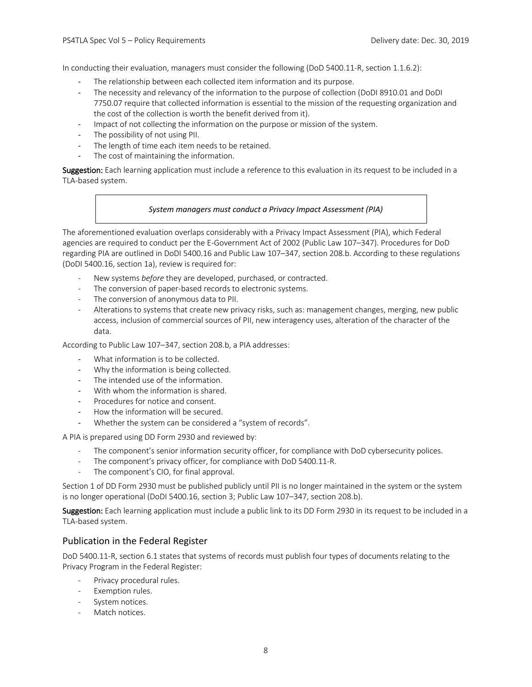In conducting their evaluation, managers must consider the following (DoD 5400.11-R, section 1.1.6.2):

- The relationship between each collected item information and its purpose.
- The necessity and relevancy of the information to the purpose of collection (DoDI 8910.01 and DoDI 7750.07 require that collected information is essential to the mission of the requesting organization and the cost of the collection is worth the benefit derived from it).
- Impact of not collecting the information on the purpose or mission of the system.
- The possibility of not using PII.
- The length of time each item needs to be retained.
- The cost of maintaining the information.

Suggestion: Each learning application must include a reference to this evaluation in its request to be included in a TLA-based system.

#### *System managers must conduct a Privacy Impact Assessment (PIA)*

The aforementioned evaluation overlaps considerably with a Privacy Impact Assessment (PIA), which Federal agencies are required to conduct per the E-Government Act of 2002 (Public Law 107–347). Procedures for DoD regarding PIA are outlined in DoDI 5400.16 and Public Law 107–347, section 208.b. According to these regulations (DoDI 5400.16, section 1a), review is required for:

- New systems *before* they are developed, purchased, or contracted.
- The conversion of paper-based records to electronic systems.
- The conversion of anonymous data to PII.
- Alterations to systems that create new privacy risks, such as: management changes, merging, new public access, inclusion of commercial sources of PII, new interagency uses, alteration of the character of the data.

According to Public Law 107–347, section 208.b, a PIA addresses:

- What information is to be collected.
- Why the information is being collected.
- The intended use of the information.
- With whom the information is shared.
- Procedures for notice and consent.
- How the information will be secured.
- Whether the system can be considered a "system of records".

A PIA is prepared using DD Form 2930 and reviewed by:

- The component's senior information security officer, for compliance with DoD cybersecurity polices.
- The component's privacy officer, for compliance with DoD 5400.11-R.
- The component's CIO, for final approval.

Section 1 of DD Form 2930 must be published publicly until PII is no longer maintained in the system or the system is no longer operational (DoDI 5400.16, section 3; Public Law 107–347, section 208.b).

Suggestion: Each learning application must include a public link to its DD Form 2930 in its request to be included in a TLA-based system.

#### Publication in the Federal Register

DoD 5400.11-R, section 6.1 states that systems of records must publish four types of documents relating to the Privacy Program in the Federal Register:

- Privacy procedural rules.
- Exemption rules.
- System notices.
- Match notices.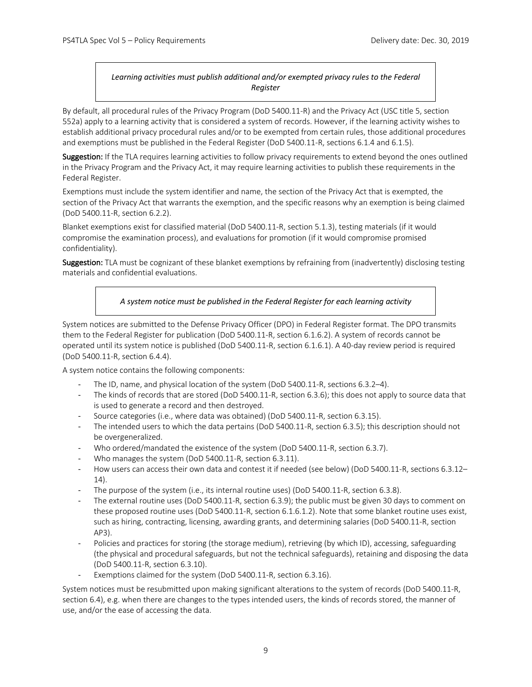#### *Learning activities must publish additional and/or exempted privacy rules to the Federal Register*

By default, all procedural rules of the Privacy Program (DoD 5400.11-R) and the Privacy Act (USC title 5, section 552a) apply to a learning activity that is considered a system of records. However, if the learning activity wishes to establish additional privacy procedural rules and/or to be exempted from certain rules, those additional procedures and exemptions must be published in the Federal Register (DoD 5400.11-R, sections 6.1.4 and 6.1.5).

Suggestion: If the TLA requires learning activities to follow privacy requirements to extend beyond the ones outlined in the Privacy Program and the Privacy Act, it may require learning activities to publish these requirements in the Federal Register.

Exemptions must include the system identifier and name, the section of the Privacy Act that is exempted, the section of the Privacy Act that warrants the exemption, and the specific reasons why an exemption is being claimed (DoD 5400.11-R, section 6.2.2).

Blanket exemptions exist for classified material (DoD 5400.11-R, section 5.1.3), testing materials (if it would compromise the examination process), and evaluations for promotion (if it would compromise promised confidentiality).

Suggestion: TLA must be cognizant of these blanket exemptions by refraining from (inadvertently) disclosing testing materials and confidential evaluations.

#### *A system notice must be published in the Federal Register for each learning activity*

System notices are submitted to the Defense Privacy Officer (DPO) in Federal Register format. The DPO transmits them to the Federal Register for publication (DoD 5400.11-R, section 6.1.6.2). A system of records cannot be operated until its system notice is published (DoD 5400.11-R, section 6.1.6.1). A 40-day review period is required (DoD 5400.11-R, section 6.4.4).

A system notice contains the following components:

- The ID, name, and physical location of the system (DoD 5400.11-R, sections 6.3.2–4).
- The kinds of records that are stored (DoD 5400.11-R, section 6.3.6); this does not apply to source data that is used to generate a record and then destroyed.
- Source categories (i.e., where data was obtained) (DoD 5400.11-R, section 6.3.15).
- The intended users to which the data pertains (DoD 5400.11-R, section 6.3.5); this description should not be overgeneralized.
- Who ordered/mandated the existence of the system (DoD 5400.11-R, section 6.3.7).
- Who manages the system (DoD 5400.11-R, section 6.3.11).
- How users can access their own data and contest it if needed (see below) (DoD 5400.11-R, sections 6.3.12– 14).
- The purpose of the system (i.e., its internal routine uses) (DoD 5400.11-R, section 6.3.8).
- The external routine uses (DoD 5400.11-R, section 6.3.9); the public must be given 30 days to comment on these proposed routine uses (DoD 5400.11-R, section 6.1.6.1.2). Note that some blanket routine uses exist, such as hiring, contracting, licensing, awarding grants, and determining salaries (DoD 5400.11-R, section AP3).
- Policies and practices for storing (the storage medium), retrieving (by which ID), accessing, safeguarding (the physical and procedural safeguards, but not the technical safeguards), retaining and disposing the data (DoD 5400.11-R, section 6.3.10).
- Exemptions claimed for the system (DoD 5400.11-R, section 6.3.16).

System notices must be resubmitted upon making significant alterations to the system of records (DoD 5400.11-R, section 6.4), e.g. when there are changes to the types intended users, the kinds of records stored, the manner of use, and/or the ease of accessing the data.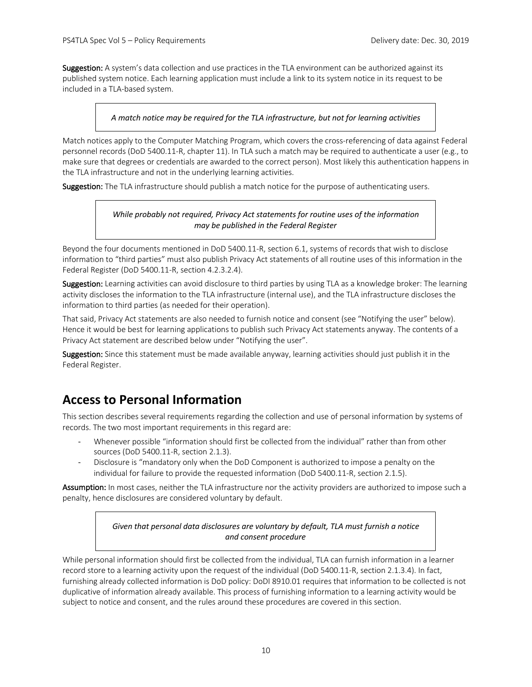Suggestion: A system's data collection and use practices in the TLA environment can be authorized against its published system notice. Each learning application must include a link to its system notice in its request to be included in a TLA-based system.

#### *A match notice may be required for the TLA infrastructure, but not for learning activities*

Match notices apply to the Computer Matching Program, which covers the cross-referencing of data against Federal personnel records (DoD 5400.11-R, chapter 11). In TLA such a match may be required to authenticate a user (e.g., to make sure that degrees or credentials are awarded to the correct person). Most likely this authentication happens in the TLA infrastructure and not in the underlying learning activities.

Suggestion: The TLA infrastructure should publish a match notice for the purpose of authenticating users.

#### *While probably not required, Privacy Act statements for routine uses of the information may be published in the Federal Register*

Beyond the four documents mentioned in DoD 5400.11-R, section 6.1, systems of records that wish to disclose information to "third parties" must also publish Privacy Act statements of all routine uses of this information in the Federal Register (DoD 5400.11-R, section 4.2.3.2.4).

Suggestion: Learning activities can avoid disclosure to third parties by using TLA as a knowledge broker: The learning activity discloses the information to the TLA infrastructure (internal use), and the TLA infrastructure discloses the information to third parties (as needed for their operation).

That said, Privacy Act statements are also needed to furnish notice and consent (see "Notifying the user" below). Hence it would be best for learning applications to publish such Privacy Act statements anyway. The contents of a Privacy Act statement are described below under "Notifying the user".

Suggestion: Since this statement must be made available anyway, learning activities should just publish it in the Federal Register.

## **Access to Personal Information**

This section describes several requirements regarding the collection and use of personal information by systems of records. The two most important requirements in this regard are:

- Whenever possible "information should first be collected from the individual" rather than from other sources (DoD 5400.11-R, section 2.1.3).
- Disclosure is "mandatory only when the DoD Component is authorized to impose a penalty on the individual for failure to provide the requested information (DoD 5400.11-R, section 2.1.5).

Assumption: In most cases, neither the TLA infrastructure nor the activity providers are authorized to impose such a penalty, hence disclosures are considered voluntary by default.

> *Given that personal data disclosures are voluntary by default, TLA must furnish a notice and consent procedure*

While personal information should first be collected from the individual, TLA can furnish information in a learner record store to a learning activity upon the request of the individual (DoD 5400.11-R, section 2.1.3.4). In fact, furnishing already collected information is DoD policy: DoDI 8910.01 requires that information to be collected is not duplicative of information already available. This process of furnishing information to a learning activity would be subject to notice and consent, and the rules around these procedures are covered in this section.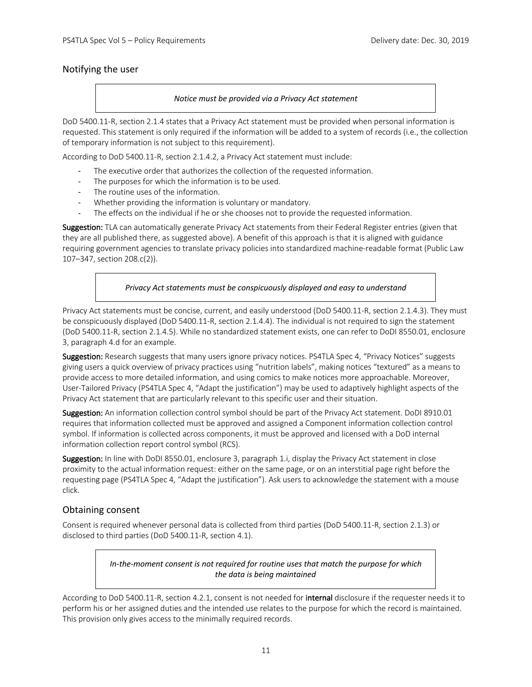#### Notifying the user

#### *Notice must be provided via a Privacy Act statement*

DoD 5400.11-R, section 2.1.4 states that a Privacy Act statement must be provided when personal information is requested. This statement is only required if the information will be added to a system of records (i.e., the collection of temporary information is not subject to this requirement).

According to DoD 5400.11-R, section 2.1.4.2, a Privacy Act statement must include:

- The executive order that authorizes the collection of the requested information.
- The purposes for which the information is to be used.
- The routine uses of the information.
- Whether providing the information is voluntary or mandatory.
- The effects on the individual if he or she chooses not to provide the requested information.

Suggestion: TLA can automatically generate Privacy Act statements from their Federal Register entries (given that they are all published there, as suggested above). A benefit of this approach is that it is aligned with guidance requiring government agencies to translate privacy policies into standardized machine-readable format (Public Law 107–347, section 208.c(2)).

#### *Privacy Act statements must be conspicuously displayed and easy to understand*

Privacy Act statements must be concise, current, and easily understood (DoD 5400.11-R, section 2.1.4.3). They must be conspicuously displayed (DoD 5400.11-R, section 2.1.4.4). The individual is not required to sign the statement (DoD 5400.11-R, section 2.1.4.5). While no standardized statement exists, one can refer to DoDI 8550.01, enclosure 3, paragraph 4.d for an example.

Suggestion: Research suggests that many users ignore privacy notices. PS4TLA Spec 4, "Privacy Notices" suggests giving users a quick overview of privacy practices using "nutrition labels", making notices "textured" as a means to provide access to more detailed information, and using comics to make notices more approachable. Moreover, User-Tailored Privacy (PS4TLA Spec 4, "Adapt the justification") may be used to adaptively highlight aspects of the Privacy Act statement that are particularly relevant to this specific user and their situation.

Suggestion: An information collection control symbol should be part of the Privacy Act statement. DoDI 8910.01 requires that information collected must be approved and assigned a Component information collection control symbol. If information is collected across components, it must be approved and licensed with a DoD internal information collection report control symbol (RCS).

Suggestion: In line with DoDI 8550.01, enclosure 3, paragraph 1.i, display the Privacy Act statement in close proximity to the actual information request: either on the same page, or on an interstitial page right before the requesting page (PS4TLA Spec 4, "Adapt the justification"). Ask users to acknowledge the statement with a mouse click.

#### Obtaining consent

Consent is required whenever personal data is collected from third parties (DoD 5400.11-R, section 2.1.3) or disclosed to third parties (DoD 5400.11-R, section 4.1).

#### *In-the-moment consent is not required for routine uses that match the purpose for which the data is being maintained*

According to DoD 5400.11-R, section 4.2.1, consent is not needed for internal disclosure if the requester needs it to perform his or her assigned duties and the intended use relates to the purpose for which the record is maintained. This provision only gives access to the minimally required records.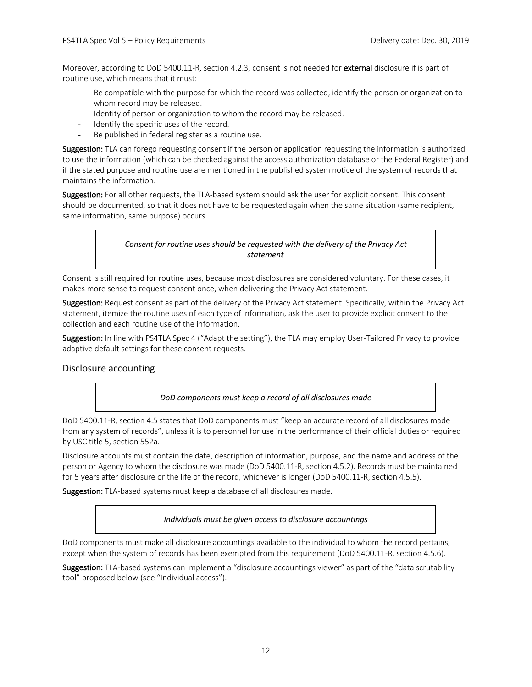Moreover, according to DoD 5400.11-R, section 4.2.3, consent is not needed for external disclosure if is part of routine use, which means that it must:

- Be compatible with the purpose for which the record was collected, identify the person or organization to whom record may be released.
- Identity of person or organization to whom the record may be released.
- Identify the specific uses of the record.
- Be published in federal register as a routine use.

Suggestion: TLA can forego requesting consent if the person or application requesting the information is authorized to use the information (which can be checked against the access authorization database or the Federal Register) and if the stated purpose and routine use are mentioned in the published system notice of the system of records that maintains the information.

Suggestion: For all other requests, the TLA-based system should ask the user for explicit consent. This consent should be documented, so that it does not have to be requested again when the same situation (same recipient, same information, same purpose) occurs.

#### *Consent for routine uses should be requested with the delivery of the Privacy Act statement*

Consent is still required for routine uses, because most disclosures are considered voluntary. For these cases, it makes more sense to request consent once, when delivering the Privacy Act statement.

Suggestion: Request consent as part of the delivery of the Privacy Act statement. Specifically, within the Privacy Act statement, itemize the routine uses of each type of information, ask the user to provide explicit consent to the collection and each routine use of the information.

Suggestion: In line with PS4TLA Spec 4 ("Adapt the setting"), the TLA may employ User-Tailored Privacy to provide adaptive default settings for these consent requests.

#### Disclosure accounting

*DoD components must keep a record of all disclosures made*

DoD 5400.11-R, section 4.5 states that DoD components must "keep an accurate record of all disclosures made from any system of records", unless it is to personnel for use in the performance of their official duties or required by USC title 5, section 552a.

Disclosure accounts must contain the date, description of information, purpose, and the name and address of the person or Agency to whom the disclosure was made (DoD 5400.11-R, section 4.5.2). Records must be maintained for 5 years after disclosure or the life of the record, whichever is longer (DoD 5400.11-R, section 4.5.5).

Suggestion: TLA-based systems must keep a database of all disclosures made.

*Individuals must be given access to disclosure accountings*

DoD components must make all disclosure accountings available to the individual to whom the record pertains, except when the system of records has been exempted from this requirement (DoD 5400.11-R, section 4.5.6).

Suggestion: TLA-based systems can implement a "disclosure accountings viewer" as part of the "data scrutability tool" proposed below (see "Individual access").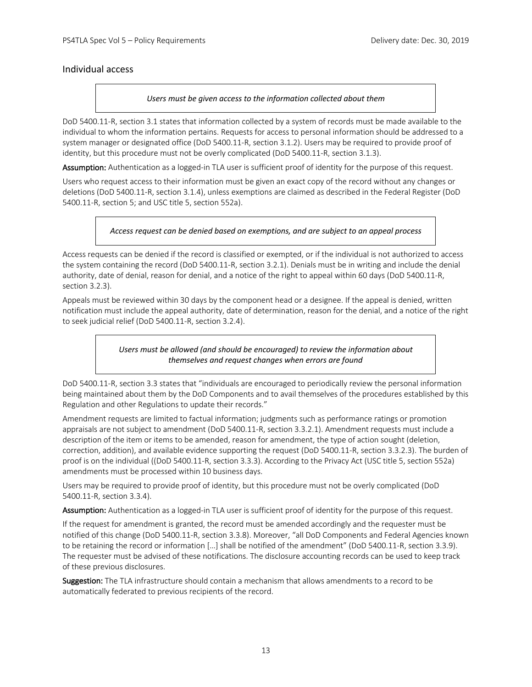#### Individual access

#### *Users must be given access to the information collected about them*

DoD 5400.11-R, section 3.1 states that information collected by a system of records must be made available to the individual to whom the information pertains. Requests for access to personal information should be addressed to a system manager or designated office (DoD 5400.11-R, section 3.1.2). Users may be required to provide proof of identity, but this procedure must not be overly complicated (DoD 5400.11-R, section 3.1.3).

Assumption: Authentication as a logged-in TLA user is sufficient proof of identity for the purpose of this request.

Users who request access to their information must be given an exact copy of the record without any changes or deletions (DoD 5400.11-R, section 3.1.4), unless exemptions are claimed as described in the Federal Register (DoD 5400.11-R, section 5; and USC title 5, section 552a).

#### *Access request can be denied based on exemptions, and are subject to an appeal process*

Access requests can be denied if the record is classified or exempted, or if the individual is not authorized to access the system containing the record (DoD 5400.11-R, section 3.2.1). Denials must be in writing and include the denial authority, date of denial, reason for denial, and a notice of the right to appeal within 60 days (DoD 5400.11-R, section 3.2.3).

Appeals must be reviewed within 30 days by the component head or a designee. If the appeal is denied, written notification must include the appeal authority, date of determination, reason for the denial, and a notice of the right to seek judicial relief (DoD 5400.11-R, section 3.2.4).

> *Users must be allowed (and should be encouraged) to review the information about themselves and request changes when errors are found*

DoD 5400.11-R, section 3.3 states that "individuals are encouraged to periodically review the personal information being maintained about them by the DoD Components and to avail themselves of the procedures established by this Regulation and other Regulations to update their records."

Amendment requests are limited to factual information; judgments such as performance ratings or promotion appraisals are not subject to amendment (DoD 5400.11-R, section 3.3.2.1). Amendment requests must include a description of the item or items to be amended, reason for amendment, the type of action sought (deletion, correction, addition), and available evidence supporting the request (DoD 5400.11-R, section 3.3.2.3). The burden of proof is on the individual ((DoD 5400.11-R, section 3.3.3). According to the Privacy Act (USC title 5, section 552a) amendments must be processed within 10 business days.

Users may be required to provide proof of identity, but this procedure must not be overly complicated (DoD 5400.11-R, section 3.3.4).

Assumption: Authentication as a logged-in TLA user is sufficient proof of identity for the purpose of this request.

If the request for amendment is granted, the record must be amended accordingly and the requester must be notified of this change (DoD 5400.11-R, section 3.3.8). Moreover, "all DoD Components and Federal Agencies known to be retaining the record or information […] shall be notified of the amendment" (DoD 5400.11-R, section 3.3.9). The requester must be advised of these notifications. The disclosure accounting records can be used to keep track of these previous disclosures.

Suggestion: The TLA infrastructure should contain a mechanism that allows amendments to a record to be automatically federated to previous recipients of the record.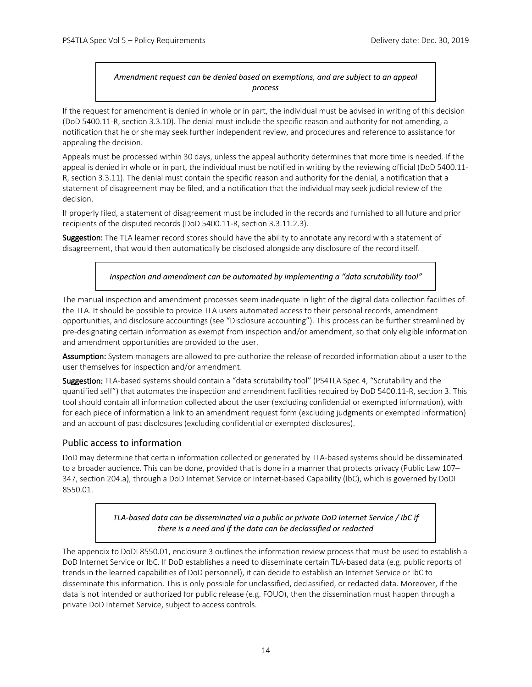#### *Amendment request can be denied based on exemptions, and are subject to an appeal process*

If the request for amendment is denied in whole or in part, the individual must be advised in writing of this decision (DoD 5400.11-R, section 3.3.10). The denial must include the specific reason and authority for not amending, a notification that he or she may seek further independent review, and procedures and reference to assistance for appealing the decision.

Appeals must be processed within 30 days, unless the appeal authority determines that more time is needed. If the appeal is denied in whole or in part, the individual must be notified in writing by the reviewing official (DoD 5400.11- R, section 3.3.11). The denial must contain the specific reason and authority for the denial, a notification that a statement of disagreement may be filed, and a notification that the individual may seek judicial review of the decision.

If properly filed, a statement of disagreement must be included in the records and furnished to all future and prior recipients of the disputed records (DoD 5400.11-R, section 3.3.11.2.3).

Suggestion: The TLA learner record stores should have the ability to annotate any record with a statement of disagreement, that would then automatically be disclosed alongside any disclosure of the record itself.

*Inspection and amendment can be automated by implementing a "data scrutability tool"*

The manual inspection and amendment processes seem inadequate in light of the digital data collection facilities of the TLA. It should be possible to provide TLA users automated access to their personal records, amendment opportunities, and disclosure accountings (see "Disclosure accounting"). This process can be further streamlined by pre-designating certain information as exempt from inspection and/or amendment, so that only eligible information and amendment opportunities are provided to the user.

Assumption: System managers are allowed to pre-authorize the release of recorded information about a user to the user themselves for inspection and/or amendment.

Suggestion: TLA-based systems should contain a "data scrutability tool" (PS4TLA Spec 4, "Scrutability and the quantified self") that automates the inspection and amendment facilities required by DoD 5400.11-R, section 3. This tool should contain all information collected about the user (excluding confidential or exempted information), with for each piece of information a link to an amendment request form (excluding judgments or exempted information) and an account of past disclosures (excluding confidential or exempted disclosures).

#### Public access to information

DoD may determine that certain information collected or generated by TLA-based systems should be disseminated to a broader audience. This can be done, provided that is done in a manner that protects privacy (Public Law 107– 347, section 204.a), through a DoD Internet Service or Internet-based Capability (IbC), which is governed by DoDI 8550.01.

> *TLA-based data can be disseminated via a public or private DoD Internet Service / IbC if there is a need and if the data can be declassified or redacted*

The appendix to DoDI 8550.01, enclosure 3 outlines the information review process that must be used to establish a DoD Internet Service or IbC. If DoD establishes a need to disseminate certain TLA-based data (e.g. public reports of trends in the learned capabilities of DoD personnel), it can decide to establish an Internet Service or IbC to disseminate this information. This is only possible for unclassified, declassified, or redacted data. Moreover, if the data is not intended or authorized for public release (e.g. FOUO), then the dissemination must happen through a private DoD Internet Service, subject to access controls.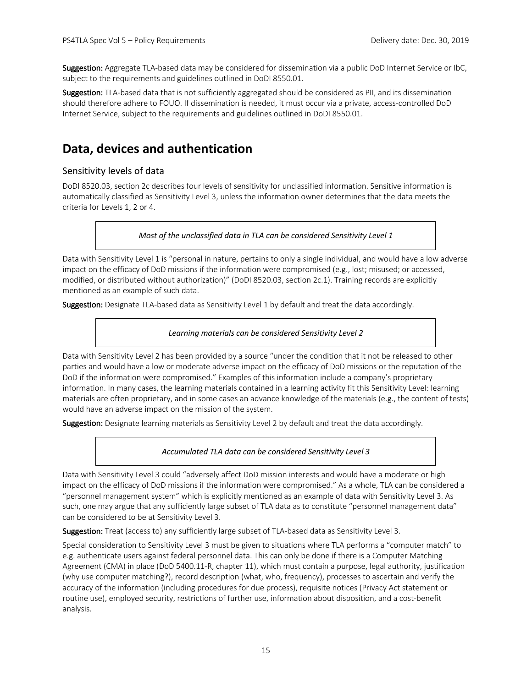Suggestion: Aggregate TLA-based data may be considered for dissemination via a public DoD Internet Service or IbC, subject to the requirements and guidelines outlined in DoDI 8550.01.

Suggestion: TLA-based data that is not sufficiently aggregated should be considered as PII, and its dissemination should therefore adhere to FOUO. If dissemination is needed, it must occur via a private, access-controlled DoD Internet Service, subject to the requirements and guidelines outlined in DoDI 8550.01.

## **Data, devices and authentication**

#### Sensitivity levels of data

DoDI 8520.03, section 2c describes four levels of sensitivity for unclassified information. Sensitive information is automatically classified as Sensitivity Level 3, unless the information owner determines that the data meets the criteria for Levels 1, 2 or 4.

#### *Most of the unclassified data in TLA can be considered Sensitivity Level 1*

Data with Sensitivity Level 1 is "personal in nature, pertains to only a single individual, and would have a low adverse impact on the efficacy of DoD missions if the information were compromised (e.g., lost; misused; or accessed, modified, or distributed without authorization)" (DoDI 8520.03, section 2c.1). Training records are explicitly mentioned as an example of such data.

Suggestion: Designate TLA-based data as Sensitivity Level 1 by default and treat the data accordingly.

#### *Learning materials can be considered Sensitivity Level 2*

Data with Sensitivity Level 2 has been provided by a source "under the condition that it not be released to other parties and would have a low or moderate adverse impact on the efficacy of DoD missions or the reputation of the DoD if the information were compromised." Examples of this information include a company's proprietary information. In many cases, the learning materials contained in a learning activity fit this Sensitivity Level: learning materials are often proprietary, and in some cases an advance knowledge of the materials (e.g., the content of tests) would have an adverse impact on the mission of the system.

Suggestion: Designate learning materials as Sensitivity Level 2 by default and treat the data accordingly.

#### *Accumulated TLA data can be considered Sensitivity Level 3*

Data with Sensitivity Level 3 could "adversely affect DoD mission interests and would have a moderate or high impact on the efficacy of DoD missions if the information were compromised." As a whole, TLA can be considered a "personnel management system" which is explicitly mentioned as an example of data with Sensitivity Level 3. As such, one may argue that any sufficiently large subset of TLA data as to constitute "personnel management data" can be considered to be at Sensitivity Level 3.

Suggestion: Treat (access to) any sufficiently large subset of TLA-based data as Sensitivity Level 3.

Special consideration to Sensitivity Level 3 must be given to situations where TLA performs a "computer match" to e.g. authenticate users against federal personnel data. This can only be done if there is a Computer Matching Agreement (CMA) in place (DoD 5400.11-R, chapter 11), which must contain a purpose, legal authority, justification (why use computer matching?), record description (what, who, frequency), processes to ascertain and verify the accuracy of the information (including procedures for due process), requisite notices (Privacy Act statement or routine use), employed security, restrictions of further use, information about disposition, and a cost-benefit analysis.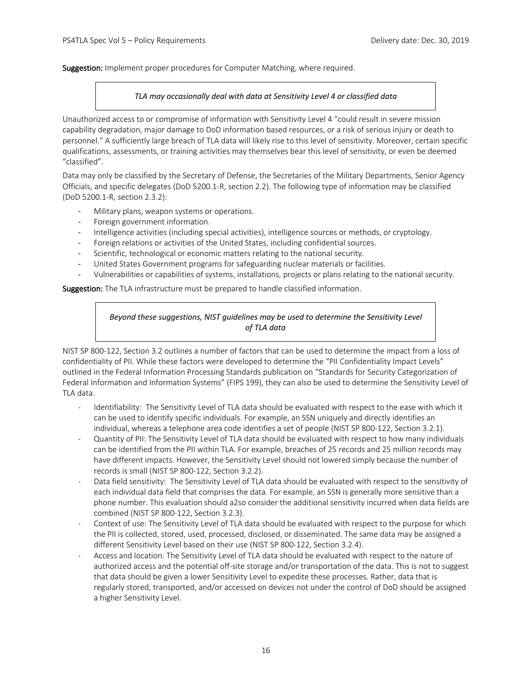#### Suggestion: Implement proper procedures for Computer Matching, where required.

#### *TLA may occasionally deal with data at Sensitivity Level 4 or classified data*

Unauthorized access to or compromise of information with Sensitivity Level 4 "could result in severe mission capability degradation, major damage to DoD information based resources, or a risk of serious injury or death to personnel." A sufficiently large breach of TLA data will likely rise to this level of sensitivity. Moreover, certain specific qualifications, assessments, or training activities may themselves bear this level of sensitivity, or even be deemed "classified".

Data may only be classified by the Secretary of Defense, the Secretaries of the Military Departments, Senior Agency Officials, and specific delegates (DoD 5200.1-R, section 2.2). The following type of information may be classified (DoD 5200.1-R, section 2.3.2):

- Military plans, weapon systems or operations.
- Foreign government information.
- Intelligence activities (including special activities), intelligence sources or methods, or cryptology.
- Foreign relations or activities of the United States, including confidential sources.
- Scientific, technological or economic matters relating to the national security.
- United States Government programs for safeguarding nuclear materials or facilities.
- Vulnerabilities or capabilities of systems, installations, projects or plans relating to the national security.

Suggestion: The TLA infrastructure must be prepared to handle classified information.

#### *Beyond these suggestions, NIST guidelines may be used to determine the Sensitivity Level of TLA data*

NIST SP 800-122, Section 3.2 outlines a number of factors that can be used to determine the impact from a loss of confidentiality of PII. While these factors were developed to determine the "PII Confidentiality Impact Levels" outlined in the Federal Information Processing Standards publication on "Standards for Security Categorization of Federal Information and Information Systems" (FIPS 199), they can also be used to determine the Sensitivity Level of TLA data.

- Identifiability: The Sensitivity Level of TLA data should be evaluated with respect to the ease with which it can be used to identify specific individuals. For example, an SSN uniquely and directly identifies an individual, whereas a telephone area code identifies a set of people (NIST SP 800-122, Section 3.2.1).
- Quantity of PII: The Sensitivity Level of TLA data should be evaluated with respect to how many individuals can be identified from the PII within TLA. For example, breaches of 25 records and 25 million records may have different impacts. However, the Sensitivity Level should not lowered simply because the number of records is small (NIST SP 800-122, Section 3.2.2).
- Data field sensitivity: The Sensitivity Level of TLA data should be evaluated with respect to the sensitivity of each individual data field that comprises the data. For example, an SSN is generally more sensitive than a phone number. This evaluation should a2so consider the additional sensitivity incurred when data fields are combined (NIST SP 800-122, Section 3.2.3).
- Context of use: The Sensitivity Level of TLA data should be evaluated with respect to the purpose for which the PII is collected, stored, used, processed, disclosed, or disseminated. The same data may be assigned a different Sensitivity Level based on their use (NIST SP 800-122, Section 3.2.4).
- Access and location: The Sensitivity Level of TLA data should be evaluated with respect to the nature of authorized access and the potential off-site storage and/or transportation of the data. This is not to suggest that data should be given a lower Sensitivity Level to expedite these processes. Rather, data that is regularly stored, transported, and/or accessed on devices not under the control of DoD should be assigned a higher Sensitivity Level.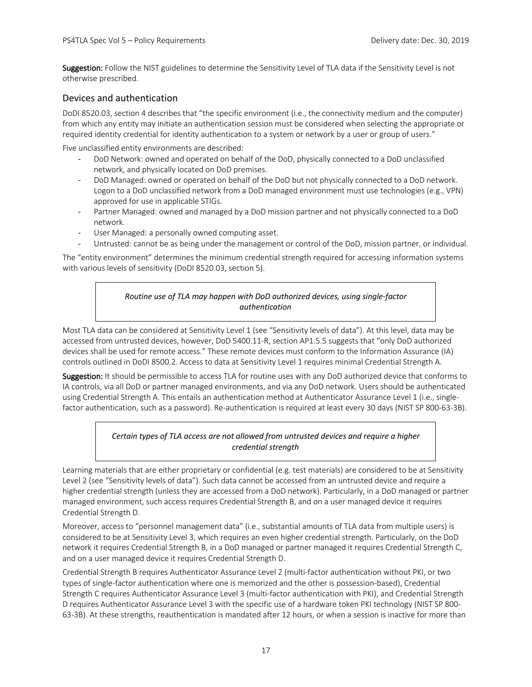Suggestion: Follow the NIST guidelines to determine the Sensitivity Level of TLA data if the Sensitivity Level is not otherwise prescribed.

#### Devices and authentication

DoDI 8520.03, section 4 describes that "the specific environment (i.e., the connectivity medium and the computer) from which any entity may initiate an authentication session must be considered when selecting the appropriate or required identity credential for identity authentication to a system or network by a user or group of users."

Five unclassified entity environments are described:

- DoD Network: owned and operated on behalf of the DoD, physically connected to a DoD unclassified network, and physically located on DoD premises.
- DoD Managed: owned or operated on behalf of the DoD but not physically connected to a DoD network. Logon to a DoD unclassified network from a DoD managed environment must use technologies (e.g., VPN) approved for use in applicable STIGs.
- Partner Managed: owned and managed by a DoD mission partner and not physically connected to a DoD network.
- User Managed: a personally owned computing asset.
- Untrusted: cannot be as being under the management or control of the DoD, mission partner, or individual.

The "entity environment" determines the minimum credential strength required for accessing information systems with various levels of sensitivity (DoDI 8520.03, section 5).

#### *Routine use of TLA may happen with DoD authorized devices, using single-factor authentication*

Most TLA data can be considered at Sensitivity Level 1 (see "Sensitivity levels of data"). At this level, data may be accessed from untrusted devices, however, DoD 5400.11-R, section AP1.5.5 suggests that "only DoD authorized devices shall be used for remote access." These remote devices must conform to the Information Assurance (IA) controls outlined in DoDI 8500.2. Access to data at Sensitivity Level 1 requires minimal Credential Strength A.

Suggestion: It should be permissible to access TLA for routine uses with any DoD authorized device that conforms to IA controls, via all DoD or partner managed environments, and via any DoD network. Users should be authenticated using Credential Strength A. This entails an authentication method at Authenticator Assurance Level 1 (i.e., singlefactor authentication, such as a password). Re-authentication is required at least every 30 days (NIST SP 800-63-3B).

#### *Certain types of TLA access are not allowed from untrusted devices and require a higher credential strength*

Learning materials that are either proprietary or confidential (e.g. test materials) are considered to be at Sensitivity Level 2 (see "Sensitivity levels of data"). Such data cannot be accessed from an untrusted device and require a higher credential strength (unless they are accessed from a DoD network). Particularly, in a DoD managed or partner managed environment, such access requires Credential Strength B, and on a user managed device it requires Credential Strength D.

Moreover, access to "personnel management data" (i.e., substantial amounts of TLA data from multiple users) is considered to be at Sensitivity Level 3, which requires an even higher credential strength. Particularly, on the DoD network it requires Credential Strength B, in a DoD managed or partner managed it requires Credential Strength C, and on a user managed device it requires Credential Strength D.

Credential Strength B requires Authenticator Assurance Level 2 (multi-factor authentication without PKI, or two types of single-factor authentication where one is memorized and the other is possession-based), Credential Strength C requires Authenticator Assurance Level 3 (multi-factor authentication with PKI), and Credential Strength D requires Authenticator Assurance Level 3 with the specific use of a hardware token PKI technology (NIST SP 800- 63-3B). At these strengths, reauthentication is mandated after 12 hours, or when a session is inactive for more than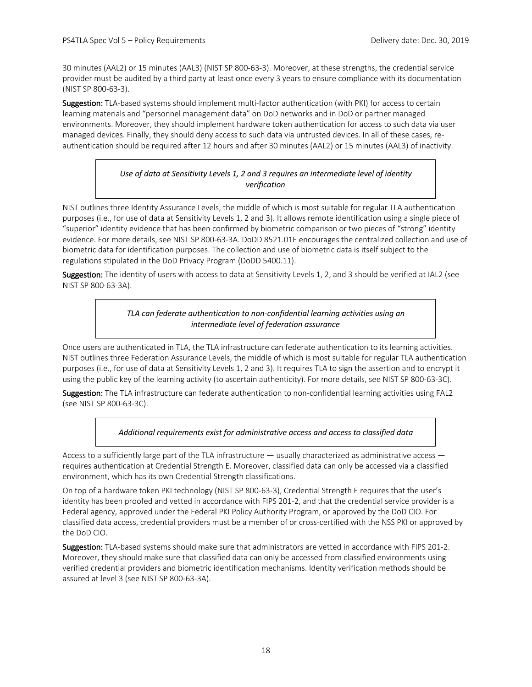30 minutes (AAL2) or 15 minutes (AAL3) (NIST SP 800-63-3). Moreover, at these strengths, the credential service provider must be audited by a third party at least once every 3 years to ensure compliance with its documentation (NIST SP 800-63-3).

Suggestion: TLA-based systems should implement multi-factor authentication (with PKI) for access to certain learning materials and "personnel management data" on DoD networks and in DoD or partner managed environments. Moreover, they should implement hardware token authentication for access to such data via user managed devices. Finally, they should deny access to such data via untrusted devices. In all of these cases, reauthentication should be required after 12 hours and after 30 minutes (AAL2) or 15 minutes (AAL3) of inactivity.

#### *Use of data at Sensitivity Levels 1, 2 and 3 requires an intermediate level of identity verification*

NIST outlines three Identity Assurance Levels, the middle of which is most suitable for regular TLA authentication purposes (i.e., for use of data at Sensitivity Levels 1, 2 and 3). It allows remote identification using a single piece of "superior" identity evidence that has been confirmed by biometric comparison or two pieces of "strong" identity evidence. For more details, see NIST SP 800-63-3A. DoDD 8521.01E encourages the centralized collection and use of biometric data for identification purposes. The collection and use of biometric data is itself subject to the regulations stipulated in the DoD Privacy Program (DoDD 5400.11).

Suggestion: The identity of users with access to data at Sensitivity Levels 1, 2, and 3 should be verified at IAL2 (see NIST SP 800-63-3A).

#### *TLA can federate authentication to non-confidential learning activities using an intermediate level of federation assurance*

Once users are authenticated in TLA, the TLA infrastructure can federate authentication to its learning activities. NIST outlines three Federation Assurance Levels, the middle of which is most suitable for regular TLA authentication purposes (i.e., for use of data at Sensitivity Levels 1, 2 and 3). It requires TLA to sign the assertion and to encrypt it using the public key of the learning activity (to ascertain authenticity). For more details, see NIST SP 800-63-3C).

Suggestion: The TLA infrastructure can federate authentication to non-confidential learning activities using FAL2 (see NIST SP 800-63-3C).

*Additional requirements exist for administrative access and access to classified data*

Access to a sufficiently large part of the TLA infrastructure  $-$  usually characterized as administrative access  $$ requires authentication at Credential Strength E. Moreover, classified data can only be accessed via a classified environment, which has its own Credential Strength classifications.

On top of a hardware token PKI technology (NIST SP 800-63-3), Credential Strength E requires that the user's identity has been proofed and vetted in accordance with FIPS 201-2, and that the credential service provider is a Federal agency, approved under the Federal PKI Policy Authority Program, or approved by the DoD CIO. For classified data access, credential providers must be a member of or cross-certified with the NSS PKI or approved by the DoD CIO.

Suggestion: TLA-based systems should make sure that administrators are vetted in accordance with FIPS 201-2. Moreover, they should make sure that classified data can only be accessed from classified environments using verified credential providers and biometric identification mechanisms. Identity verification methods should be assured at level 3 (see NIST SP 800-63-3A).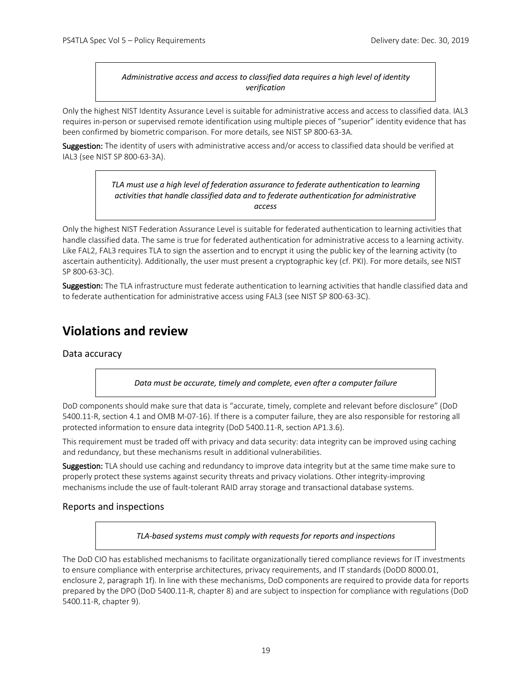#### *Administrative access and access to classified data requires a high level of identity verification*

Only the highest NIST Identity Assurance Level is suitable for administrative access and access to classified data. IAL3 requires in-person or supervised remote identification using multiple pieces of "superior" identity evidence that has been confirmed by biometric comparison. For more details, see NIST SP 800-63-3A.

Suggestion: The identity of users with administrative access and/or access to classified data should be verified at IAL3 (see NIST SP 800-63-3A).

> *TLA must use a high level of federation assurance to federate authentication to learning activities that handle classified data and to federate authentication for administrative access*

Only the highest NIST Federation Assurance Level is suitable for federated authentication to learning activities that handle classified data. The same is true for federated authentication for administrative access to a learning activity. Like FAL2, FAL3 requires TLA to sign the assertion and to encrypt it using the public key of the learning activity (to ascertain authenticity). Additionally, the user must present a cryptographic key (cf. PKI). For more details, see NIST SP 800-63-3C).

Suggestion: The TLA infrastructure must federate authentication to learning activities that handle classified data and to federate authentication for administrative access using FAL3 (see NIST SP 800-63-3C).

## **Violations and review**

#### Data accuracy

*Data must be accurate, timely and complete, even after a computer failure*

DoD components should make sure that data is "accurate, timely, complete and relevant before disclosure" (DoD 5400.11-R, section 4.1 and OMB M-07-16). If there is a computer failure, they are also responsible for restoring all protected information to ensure data integrity (DoD 5400.11-R, section AP1.3.6).

This requirement must be traded off with privacy and data security: data integrity can be improved using caching and redundancy, but these mechanisms result in additional vulnerabilities.

Suggestion: TLA should use caching and redundancy to improve data integrity but at the same time make sure to properly protect these systems against security threats and privacy violations. Other integrity-improving mechanisms include the use of fault-tolerant RAID array storage and transactional database systems.

#### Reports and inspections

*TLA-based systems must comply with requests for reports and inspections*

The DoD CIO has established mechanisms to facilitate organizationally tiered compliance reviews for IT investments to ensure compliance with enterprise architectures, privacy requirements, and IT standards (DoDD 8000.01, enclosure 2, paragraph 1f). In line with these mechanisms, DoD components are required to provide data for reports prepared by the DPO (DoD 5400.11-R, chapter 8) and are subject to inspection for compliance with regulations (DoD 5400.11-R, chapter 9).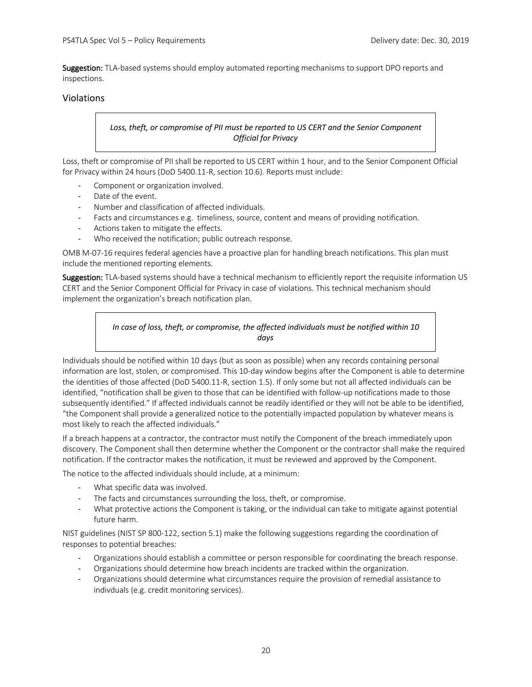Suggestion: TLA-based systems should employ automated reporting mechanisms to support DPO reports and inspections.

#### Violations

#### *Loss, theft, or compromise of PII must be reported to US CERT and the Senior Component Official for Privacy*

Loss, theft or compromise of PII shall be reported to US CERT within 1 hour, and to the Senior Component Official for Privacy within 24 hours (DoD 5400.11-R, section 10.6). Reports must include:

- Component or organization involved.
- Date of the event.
- Number and classification of affected individuals.
- Facts and circumstances e.g. timeliness, source, content and means of providing notification.
- Actions taken to mitigate the effects.
- Who received the notification; public outreach response.

OMB M-07-16 requires federal agencies have a proactive plan for handling breach notifications. This plan must include the mentioned reporting elements.

Suggestion: TLA-based systems should have a technical mechanism to efficiently report the requisite information US CERT and the Senior Component Official for Privacy in case of violations. This technical mechanism should implement the organization's breach notification plan.

#### *In case of loss, theft, or compromise, the affected individuals must be notified within 10 days*

Individuals should be notified within 10 days (but as soon as possible) when any records containing personal information are lost, stolen, or compromised. This 10-day window begins after the Component is able to determine the identities of those affected (DoD 5400.11-R, section 1.5). If only some but not all affected individuals can be identified, "notification shall be given to those that can be identified with follow-up notifications made to those subsequently identified." If affected individuals cannot be readily identified or they will not be able to be identified, "the Component shall provide a generalized notice to the potentially impacted population by whatever means is most likely to reach the affected individuals."

If a breach happens at a contractor, the contractor must notify the Component of the breach immediately upon discovery. The Component shall then determine whether the Component or the contractor shall make the required notification. If the contractor makes the notification, it must be reviewed and approved by the Component.

The notice to the affected individuals should include, at a minimum:

- What specific data was involved.
- The facts and circumstances surrounding the loss, theft, or compromise.
- What protective actions the Component is taking, or the individual can take to mitigate against potential future harm.

NIST guidelines (NIST SP 800-122, section 5.1) make the following suggestions regarding the coordination of responses to potential breaches:

- Organizations should establish a committee or person responsible for coordinating the breach response.
- Organizations should determine how breach incidents are tracked within the organization.
- Organizations should determine what circumstances require the provision of remedial assistance to indivduals (e.g. credit monitoring services).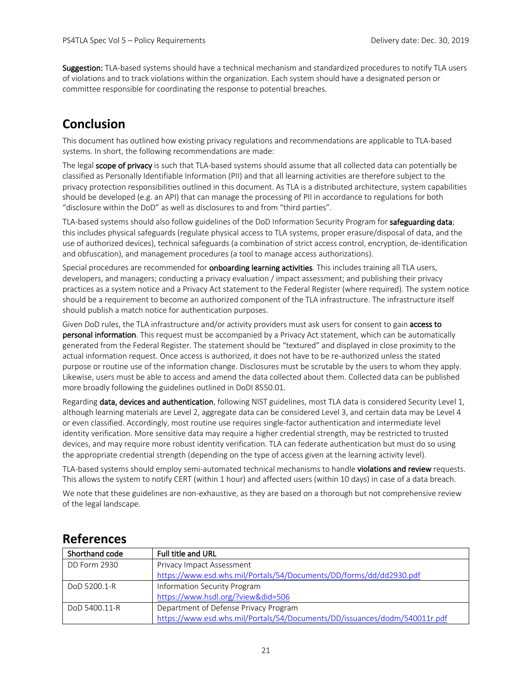Suggestion: TLA-based systems should have a technical mechanism and standardized procedures to notify TLA users of violations and to track violations within the organization. Each system should have a designated person or committee responsible for coordinating the response to potential breaches.

## **Conclusion**

This document has outlined how existing privacy regulations and recommendations are applicable to TLA-based systems. In short, the following recommendations are made:

The legal scope of privacy is such that TLA-based systems should assume that all collected data can potentially be classified as Personally Identifiable Information (PII) and that all learning activities are therefore subject to the privacy protection responsibilities outlined in this document. As TLA is a distributed architecture, system capabilities should be developed (e.g. an API) that can manage the processing of PII in accordance to regulations for both "disclosure within the DoD" as well as disclosures to and from "third parties".

TLA-based systems should also follow guidelines of the DoD Information Security Program for safeguarding data; this includes physical safeguards (regulate physical access to TLA systems, proper erasure/disposal of data, and the use of authorized devices), technical safeguards (a combination of strict access control, encryption, de-identification and obfuscation), and management procedures (a tool to manage access authorizations).

Special procedures are recommended for **onboarding learning activities**. This includes training all TLA users, developers, and managers; conducting a privacy evaluation / impact assessment; and publishing their privacy practices as a system notice and a Privacy Act statement to the Federal Register (where required). The system notice should be a requirement to become an authorized component of the TLA infrastructure. The infrastructure itself should publish a match notice for authentication purposes.

Given DoD rules, the TLA infrastructure and/or activity providers must ask users for consent to gain access to personal information. This request must be accompanied by a Privacy Act statement, which can be automatically generated from the Federal Register. The statement should be "textured" and displayed in close proximity to the actual information request. Once access is authorized, it does not have to be re-authorized unless the stated purpose or routine use of the information change. Disclosures must be scrutable by the users to whom they apply. Likewise, users must be able to access and amend the data collected about them. Collected data can be published more broadly following the guidelines outlined in DoDI 8550.01.

Regarding data, devices and authentication, following NIST guidelines, most TLA data is considered Security Level 1, although learning materials are Level 2, aggregate data can be considered Level 3, and certain data may be Level 4 or even classified. Accordingly, most routine use requires single-factor authentication and intermediate level identity verification. More sensitive data may require a higher credential strength, may be restricted to trusted devices, and may require more robust identity verification. TLA can federate authentication but must do so using the appropriate credential strength (depending on the type of access given at the learning activity level).

TLA-based systems should employ semi-automated technical mechanisms to handle violations and review requests. This allows the system to notify CERT (within 1 hour) and affected users (within 10 days) in case of a data breach.

We note that these guidelines are non-exhaustive, as they are based on a thorough but not comprehensive review of the legal landscape.

### **References**

| Shorthand code | <b>Full title and URL</b>                                                  |  |
|----------------|----------------------------------------------------------------------------|--|
| DD Form 2930   | Privacy Impact Assessment                                                  |  |
|                | https://www.esd.whs.mil/Portals/54/Documents/DD/forms/dd/dd2930.pdf        |  |
| DoD 5200.1-R   | Information Security Program                                               |  |
|                | https://www.hsdl.org/?view&did=506                                         |  |
| DoD 5400.11-R  | Department of Defense Privacy Program                                      |  |
|                | https://www.esd.whs.mil/Portals/54/Documents/DD/issuances/dodm/540011r.pdf |  |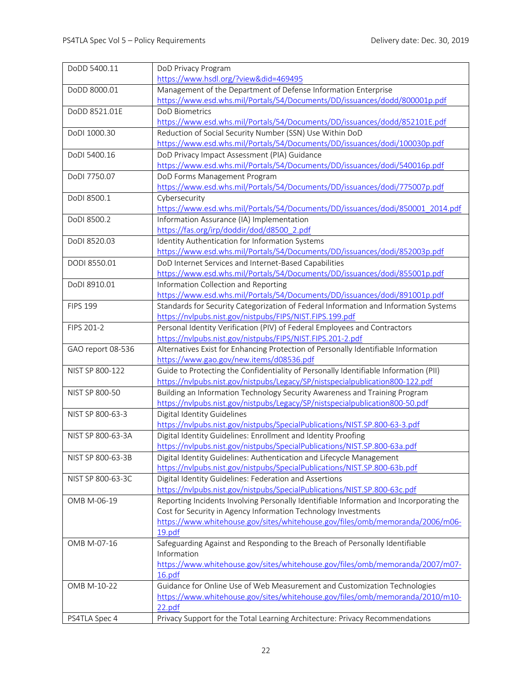| DoDD 5400.11      | DoD Privacy Program                                                                                                                               |
|-------------------|---------------------------------------------------------------------------------------------------------------------------------------------------|
|                   | https://www.hsdl.org/?view&did=469495                                                                                                             |
| DoDD 8000.01      | Management of the Department of Defense Information Enterprise                                                                                    |
|                   | https://www.esd.whs.mil/Portals/54/Documents/DD/issuances/dodd/800001p.pdf                                                                        |
| DoDD 8521.01E     | <b>DoD Biometrics</b>                                                                                                                             |
|                   | https://www.esd.whs.mil/Portals/54/Documents/DD/issuances/dodd/852101E.pdf                                                                        |
| DoDI 1000.30      | Reduction of Social Security Number (SSN) Use Within DoD                                                                                          |
|                   | https://www.esd.whs.mil/Portals/54/Documents/DD/issuances/dodi/100030p.pdf                                                                        |
| DoDI 5400.16      | DoD Privacy Impact Assessment (PIA) Guidance                                                                                                      |
|                   | https://www.esd.whs.mil/Portals/54/Documents/DD/issuances/dodi/540016p.pdf                                                                        |
| DoDI 7750.07      | DoD Forms Management Program                                                                                                                      |
|                   | https://www.esd.whs.mil/Portals/54/Documents/DD/issuances/dodi/775007p.pdf                                                                        |
| DoDI 8500.1       | Cybersecurity                                                                                                                                     |
|                   | https://www.esd.whs.mil/Portals/54/Documents/DD/issuances/dodi/850001_2014.pdf                                                                    |
| DoDI 8500.2       | Information Assurance (IA) Implementation                                                                                                         |
|                   | https://fas.org/irp/doddir/dod/d8500_2.pdf                                                                                                        |
| DoDI 8520.03      | Identity Authentication for Information Systems                                                                                                   |
|                   | https://www.esd.whs.mil/Portals/54/Documents/DD/issuances/dodi/852003p.pdf                                                                        |
| DODI 8550.01      | DoD Internet Services and Internet-Based Capabilities                                                                                             |
|                   | https://www.esd.whs.mil/Portals/54/Documents/DD/issuances/dodi/855001p.pdf                                                                        |
| DoDI 8910.01      | Information Collection and Reporting                                                                                                              |
|                   | https://www.esd.whs.mil/Portals/54/Documents/DD/issuances/dodi/891001p.pdf                                                                        |
| <b>FIPS 199</b>   | Standards for Security Categorization of Federal Information and Information Systems                                                              |
| FIPS 201-2        | https://nvlpubs.nist.gov/nistpubs/FIPS/NIST.FIPS.199.pdf                                                                                          |
|                   | Personal Identity Verification (PIV) of Federal Employees and Contractors<br>https://nvlpubs.nist.gov/nistpubs/FIPS/NIST.FIPS.201-2.pdf           |
| GAO report 08-536 | Alternatives Exist for Enhancing Protection of Personally Identifiable Information                                                                |
|                   | https://www.gao.gov/new.items/d08536.pdf                                                                                                          |
| NIST SP 800-122   | Guide to Protecting the Confidentiality of Personally Identifiable Information (PII)                                                              |
|                   | https://nvlpubs.nist.gov/nistpubs/Legacy/SP/nistspecialpublication800-122.pdf                                                                     |
| NIST SP 800-50    | Building an Information Technology Security Awareness and Training Program                                                                        |
|                   | https://nvlpubs.nist.gov/nistpubs/Legacy/SP/nistspecialpublication800-50.pdf                                                                      |
| NIST SP 800-63-3  | Digital Identity Guidelines                                                                                                                       |
|                   | https://nvlpubs.nist.gov/nistpubs/SpecialPublications/NIST.SP.800-63-3.pdf                                                                        |
| NIST SP 800-63-3A |                                                                                                                                                   |
|                   |                                                                                                                                                   |
|                   | Digital Identity Guidelines: Enrollment and Identity Proofing                                                                                     |
| NIST SP 800-63-3B | https://nvlpubs.nist.gov/nistpubs/SpecialPublications/NIST.SP.800-63a.pdf                                                                         |
|                   | Digital Identity Guidelines: Authentication and Lifecycle Management<br>https://nvlpubs.nist.gov/nistpubs/SpecialPublications/NIST.SP.800-63b.pdf |
| NIST SP 800-63-3C | Digital Identity Guidelines: Federation and Assertions                                                                                            |
|                   | https://nvlpubs.nist.gov/nistpubs/SpecialPublications/NIST.SP.800-63c.pdf                                                                         |
| OMB M-06-19       | Reporting Incidents Involving Personally Identifiable Information and Incorporating the                                                           |
|                   | Cost for Security in Agency Information Technology Investments                                                                                    |
|                   | https://www.whitehouse.gov/sites/whitehouse.gov/files/omb/memoranda/2006/m06-                                                                     |
|                   | 19.pdf                                                                                                                                            |
| OMB M-07-16       | Safeguarding Against and Responding to the Breach of Personally Identifiable                                                                      |
|                   | Information                                                                                                                                       |
|                   | https://www.whitehouse.gov/sites/whitehouse.gov/files/omb/memoranda/2007/m07-                                                                     |
|                   | 16.pdf                                                                                                                                            |
| OMB M-10-22       | Guidance for Online Use of Web Measurement and Customization Technologies                                                                         |
|                   | https://www.whitehouse.gov/sites/whitehouse.gov/files/omb/memoranda/2010/m10-                                                                     |
| PS4TLA Spec 4     | 22.pdf<br>Privacy Support for the Total Learning Architecture: Privacy Recommendations                                                            |